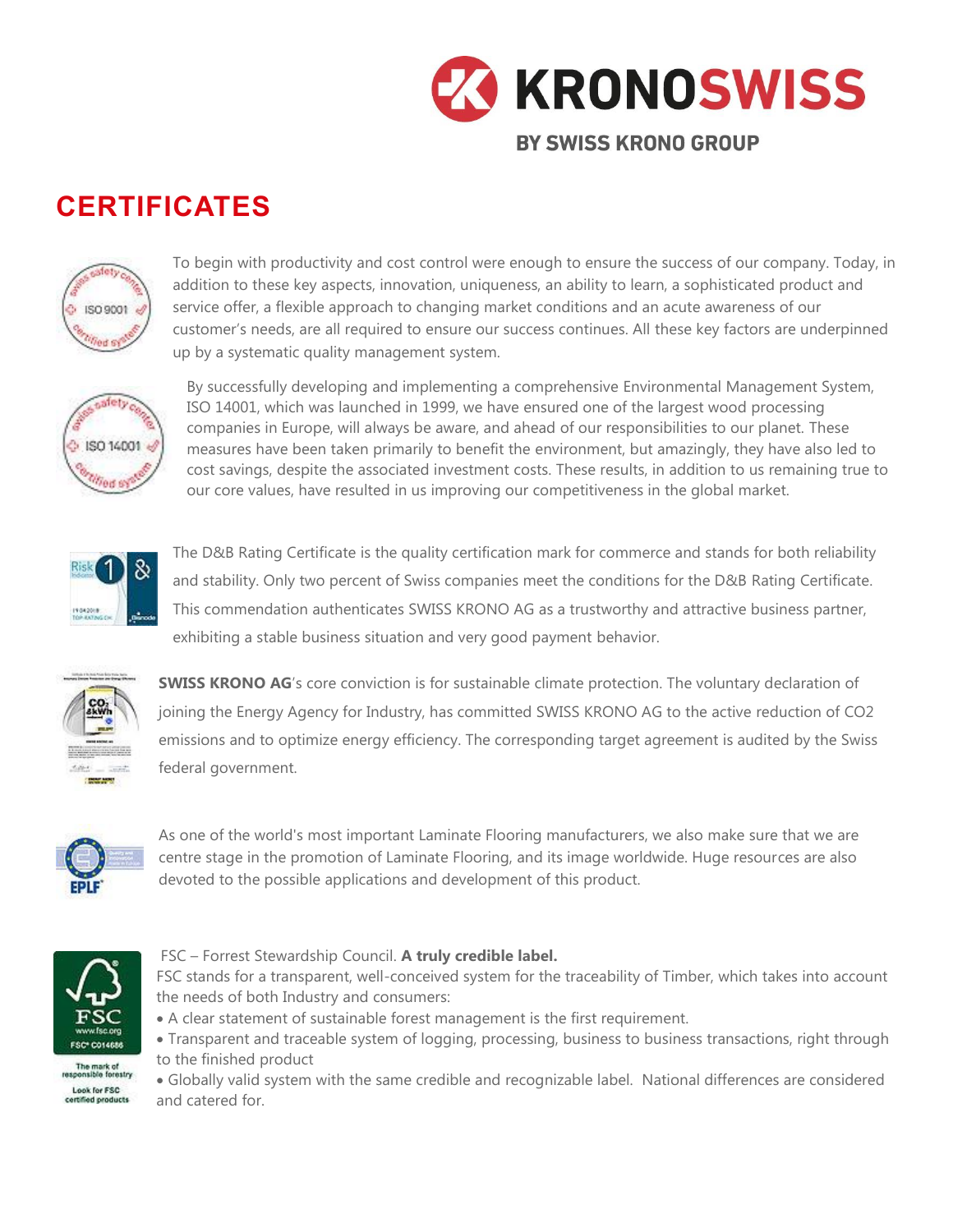

## **CERTIFICATES**



To begin with productivity and cost control were enough to ensure the success of our company. Today, in addition to these key aspects, innovation, uniqueness, an ability to learn, a sophisticated product and service offer, a flexible approach to changing market conditions and an acute awareness of our customer's needs, are all required to ensure our success continues. All these key factors are underpinned up by a systematic quality management system.



By successfully developing and implementing a comprehensive Environmental Management System, ISO 14001, which was launched in 1999, we have ensured one of the largest wood processing companies in Europe, will always be aware, and ahead of our responsibilities to our planet. These measures have been taken primarily to benefit the environment, but amazingly, they have also led to cost savings, despite the associated investment costs. These results, in addition to us remaining true to our core values, have resulted in us improving our competitiveness in the global market.



The D&B Rating Certificate is the quality certification mark for commerce and stands for both reliability and stability. Only two percent of Swiss companies meet the conditions for the D&B Rating Certificate. This commendation authenticates SWISS KRONO AG as a trustworthy and attractive business partner, exhibiting a stable business situation and very good payment behavior.



**SWISS KRONO AG**'s core conviction is for sustainable climate protection. The voluntary declaration of joining the Energy Agency for Industry, has committed SWISS KRONO AG to the active reduction of CO2 emissions and to optimize energy efficiency. The corresponding target agreement is audited by the Swiss federal government.



As one of the world's most important Laminate Flooring manufacturers, we also make sure that we are centre stage in the promotion of Laminate Flooring, and its image worldwide. Huge resources are also devoted to the possible applications and development of this product.



The mark of<br>responsible forestry Look for FSC certified products

## FSC – Forrest Stewardship Council. **A truly credible label.**

FSC stands for a transparent, well-conceived system for the traceability of Timber, which takes into account the needs of both Industry and consumers:

- A clear statement of sustainable forest management is the first requirement.
- Transparent and traceable system of logging, processing, business to business transactions, right through to the finished product

• Globally valid system with the same credible and recognizable label. National differences are considered and catered for.